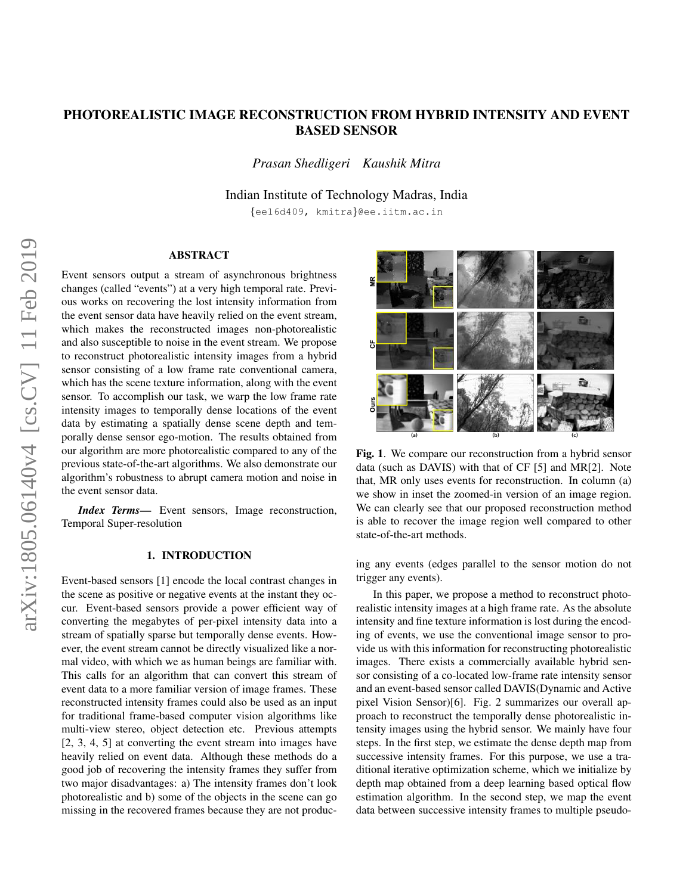# PHOTOREALISTIC IMAGE RECONSTRUCTION FROM HYBRID INTENSITY AND EVENT BASED SENSOR

*Prasan Shedligeri Kaushik Mitra*

Indian Institute of Technology Madras, India

{ee16d409, kmitra}@ee.iitm.ac.in

# ABSTRACT

Event sensors output a stream of asynchronous brightness changes (called "events") at a very high temporal rate. Previous works on recovering the lost intensity information from the event sensor data have heavily relied on the event stream, which makes the reconstructed images non-photorealistic and also susceptible to noise in the event stream. We propose to reconstruct photorealistic intensity images from a hybrid sensor consisting of a low frame rate conventional camera, which has the scene texture information, along with the event sensor. To accomplish our task, we warp the low frame rate intensity images to temporally dense locations of the event data by estimating a spatially dense scene depth and temporally dense sensor ego-motion. The results obtained from our algorithm are more photorealistic compared to any of the previous state-of-the-art algorithms. We also demonstrate our algorithm's robustness to abrupt camera motion and noise in the event sensor data.

*Index Terms*— Event sensors, Image reconstruction, Temporal Super-resolution

### 1. INTRODUCTION

Event-based sensors [1] encode the local contrast changes in the scene as positive or negative events at the instant they occur. Event-based sensors provide a power efficient way of converting the megabytes of per-pixel intensity data into a stream of spatially sparse but temporally dense events. However, the event stream cannot be directly visualized like a normal video, with which we as human beings are familiar with. This calls for an algorithm that can convert this stream of event data to a more familiar version of image frames. These reconstructed intensity frames could also be used as an input for traditional frame-based computer vision algorithms like multi-view stereo, object detection etc. Previous attempts [2, 3, 4, 5] at converting the event stream into images have heavily relied on event data. Although these methods do a good job of recovering the intensity frames they suffer from two major disadvantages: a) The intensity frames don't look photorealistic and b) some of the objects in the scene can go missing in the recovered frames because they are not produc-



Fig. 1. We compare our reconstruction from a hybrid sensor data (such as DAVIS) with that of CF [5] and MR[2]. Note that, MR only uses events for reconstruction. In column (a) we show in inset the zoomed-in version of an image region. We can clearly see that our proposed reconstruction method is able to recover the image region well compared to other state-of-the-art methods.

ing any events (edges parallel to the sensor motion do not trigger any events).

In this paper, we propose a method to reconstruct photorealistic intensity images at a high frame rate. As the absolute intensity and fine texture information is lost during the encoding of events, we use the conventional image sensor to provide us with this information for reconstructing photorealistic images. There exists a commercially available hybrid sensor consisting of a co-located low-frame rate intensity sensor and an event-based sensor called DAVIS(Dynamic and Active pixel Vision Sensor)[6]. Fig. 2 summarizes our overall approach to reconstruct the temporally dense photorealistic intensity images using the hybrid sensor. We mainly have four steps. In the first step, we estimate the dense depth map from successive intensity frames. For this purpose, we use a traditional iterative optimization scheme, which we initialize by depth map obtained from a deep learning based optical flow estimation algorithm. In the second step, we map the event data between successive intensity frames to multiple pseudo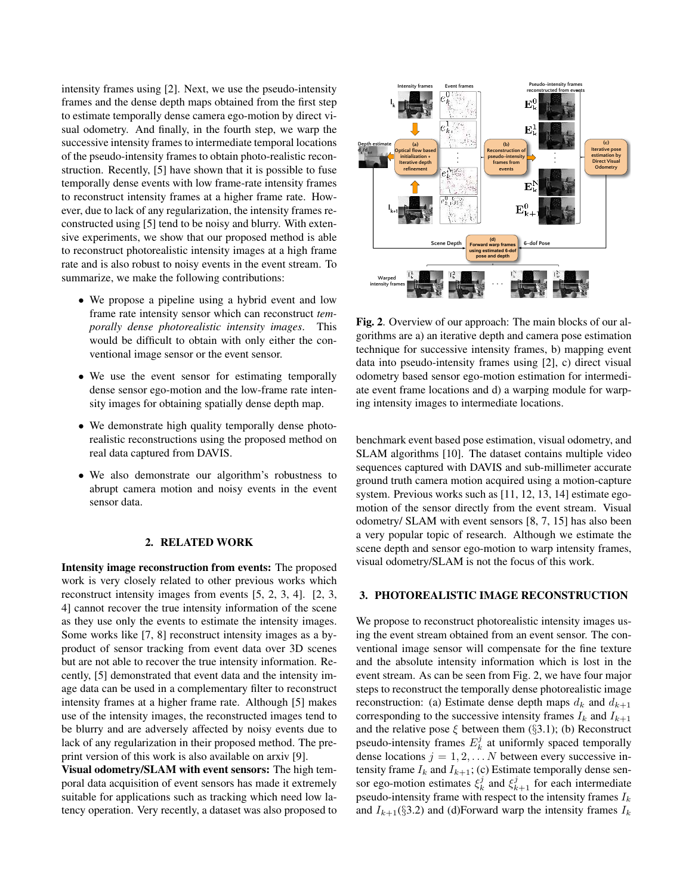intensity frames using [2]. Next, we use the pseudo-intensity frames and the dense depth maps obtained from the first step to estimate temporally dense camera ego-motion by direct visual odometry. And finally, in the fourth step, we warp the successive intensity frames to intermediate temporal locations of the pseudo-intensity frames to obtain photo-realistic reconstruction. Recently, [5] have shown that it is possible to fuse temporally dense events with low frame-rate intensity frames to reconstruct intensity frames at a higher frame rate. However, due to lack of any regularization, the intensity frames reconstructed using [5] tend to be noisy and blurry. With extensive experiments, we show that our proposed method is able to reconstruct photorealistic intensity images at a high frame rate and is also robust to noisy events in the event stream. To summarize, we make the following contributions:

- We propose a pipeline using a hybrid event and low frame rate intensity sensor which can reconstruct *temporally dense photorealistic intensity images*. This would be difficult to obtain with only either the conventional image sensor or the event sensor.
- We use the event sensor for estimating temporally dense sensor ego-motion and the low-frame rate intensity images for obtaining spatially dense depth map.
- We demonstrate high quality temporally dense photorealistic reconstructions using the proposed method on real data captured from DAVIS.
- We also demonstrate our algorithm's robustness to abrupt camera motion and noisy events in the event sensor data.

#### 2. RELATED WORK

Intensity image reconstruction from events: The proposed work is very closely related to other previous works which reconstruct intensity images from events [5, 2, 3, 4]. [2, 3, 4] cannot recover the true intensity information of the scene as they use only the events to estimate the intensity images. Some works like [7, 8] reconstruct intensity images as a byproduct of sensor tracking from event data over 3D scenes but are not able to recover the true intensity information. Recently, [5] demonstrated that event data and the intensity image data can be used in a complementary filter to reconstruct intensity frames at a higher frame rate. Although [5] makes use of the intensity images, the reconstructed images tend to be blurry and are adversely affected by noisy events due to lack of any regularization in their proposed method. The preprint version of this work is also available on arxiv [9].

Visual odometry/SLAM with event sensors: The high temporal data acquisition of event sensors has made it extremely suitable for applications such as tracking which need low latency operation. Very recently, a dataset was also proposed to



Fig. 2. Overview of our approach: The main blocks of our algorithms are a) an iterative depth and camera pose estimation technique for successive intensity frames, b) mapping event data into pseudo-intensity frames using [2], c) direct visual odometry based sensor ego-motion estimation for intermediate event frame locations and d) a warping module for warping intensity images to intermediate locations.

benchmark event based pose estimation, visual odometry, and SLAM algorithms [10]. The dataset contains multiple video sequences captured with DAVIS and sub-millimeter accurate ground truth camera motion acquired using a motion-capture system. Previous works such as [11, 12, 13, 14] estimate egomotion of the sensor directly from the event stream. Visual odometry/ SLAM with event sensors [8, 7, 15] has also been a very popular topic of research. Although we estimate the scene depth and sensor ego-motion to warp intensity frames, visual odometry/SLAM is not the focus of this work.

### 3. PHOTOREALISTIC IMAGE RECONSTRUCTION

We propose to reconstruct photorealistic intensity images using the event stream obtained from an event sensor. The conventional image sensor will compensate for the fine texture and the absolute intensity information which is lost in the event stream. As can be seen from Fig. 2, we have four major steps to reconstruct the temporally dense photorealistic image reconstruction: (a) Estimate dense depth maps  $d_k$  and  $d_{k+1}$ corresponding to the successive intensity frames  $I_k$  and  $I_{k+1}$ and the relative pose  $\xi$  between them (§3.1); (b) Reconstruct pseudo-intensity frames  $E_k^j$  at uniformly spaced temporally dense locations  $j = 1, 2, \dots N$  between every successive intensity frame  $I_k$  and  $I_{k+1}$ ; (c) Estimate temporally dense sensor ego-motion estimates  $\xi_k^j$  and  $\xi_{k+1}^j$  for each intermediate pseudo-intensity frame with respect to the intensity frames  $I_k$ and  $I_{k+1}(\S 3.2)$  and (d)Forward warp the intensity frames  $I_k$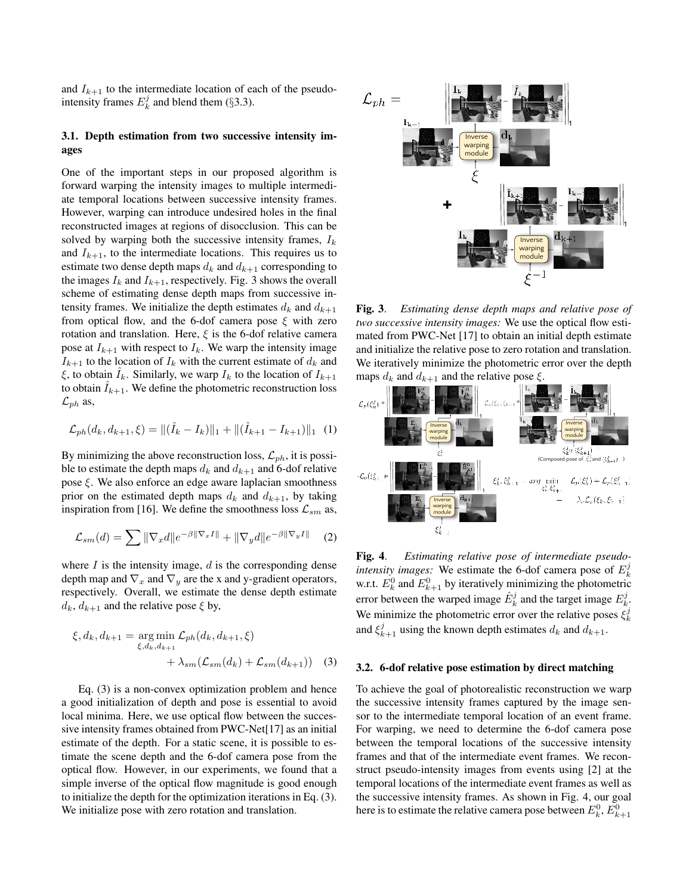and  $I_{k+1}$  to the intermediate location of each of the pseudointensity frames  $E_k^j$  and blend them (§3.3).

# 3.1. Depth estimation from two successive intensity images

One of the important steps in our proposed algorithm is forward warping the intensity images to multiple intermediate temporal locations between successive intensity frames. However, warping can introduce undesired holes in the final reconstructed images at regions of disocclusion. This can be solved by warping both the successive intensity frames,  $I_k$ and  $I_{k+1}$ , to the intermediate locations. This requires us to estimate two dense depth maps  $d_k$  and  $d_{k+1}$  corresponding to the images  $I_k$  and  $I_{k+1}$ , respectively. Fig. 3 shows the overall scheme of estimating dense depth maps from successive intensity frames. We initialize the depth estimates  $d_k$  and  $d_{k+1}$ from optical flow, and the 6-dof camera pose  $\xi$  with zero rotation and translation. Here,  $\xi$  is the 6-dof relative camera pose at  $I_{k+1}$  with respect to  $I_k$ . We warp the intensity image  $I_{k+1}$  to the location of  $I_k$  with the current estimate of  $d_k$  and  $\xi$ , to obtain  $I_k$ . Similarly, we warp  $I_k$  to the location of  $I_{k+1}$ to obtain  $I_{k+1}$ . We define the photometric reconstruction loss  $\mathcal{L}_{ph}$  as,

$$
\mathcal{L}_{ph}(d_k, d_{k+1}, \xi) = ||(\hat{I}_k - I_k)||_1 + ||(\hat{I}_{k+1} - I_{k+1})||_1 \quad (1)
$$

By minimizing the above reconstruction loss,  $\mathcal{L}_{ph}$ , it is possible to estimate the depth maps  $d_k$  and  $d_{k+1}$  and 6-dof relative pose  $\xi$ . We also enforce an edge aware laplacian smoothness prior on the estimated depth maps  $d_k$  and  $d_{k+1}$ , by taking inspiration from [16]. We define the smoothness loss  $\mathcal{L}_{sm}$  as,

$$
\mathcal{L}_{sm}(d) = \sum ||\nabla_x d||e^{-\beta||\nabla_x I||} + ||\nabla_y d||e^{-\beta||\nabla_y I||} \tag{2}
$$

where  $I$  is the intensity image,  $d$  is the corresponding dense depth map and  $\nabla_x$  and  $\nabla_y$  are the x and y-gradient operators, respectively. Overall, we estimate the dense depth estimate  $d_k, d_{k+1}$  and the relative pose  $\xi$  by,

$$
\xi, d_k, d_{k+1} = \underset{\xi, d_k, d_{k+1}}{\arg \min} \mathcal{L}_{ph}(d_k, d_{k+1}, \xi)
$$

$$
+ \lambda_{sm}(\mathcal{L}_{sm}(d_k) + \mathcal{L}_{sm}(d_{k+1})) \quad (3)
$$

Eq. (3) is a non-convex optimization problem and hence a good initialization of depth and pose is essential to avoid local minima. Here, we use optical flow between the successive intensity frames obtained from PWC-Net[17] as an initial estimate of the depth. For a static scene, it is possible to estimate the scene depth and the 6-dof camera pose from the optical flow. However, in our experiments, we found that a simple inverse of the optical flow magnitude is good enough to initialize the depth for the optimization iterations in Eq. (3). We initialize pose with zero rotation and translation.



Fig. 3. *Estimating dense depth maps and relative pose of two successive intensity images:* We use the optical flow estimated from PWC-Net [17] to obtain an initial depth estimate and initialize the relative pose to zero rotation and translation. We iteratively minimize the photometric error over the depth maps  $d_k$  and  $d_{k+1}$  and the relative pose  $\xi$ .



Fig. 4. *Estimating relative pose of intermediate pseudointensity images:* We estimate the 6-dof camera pose of  $E_k^j$ w.r.t.  $E_k^0$  and  $E_{k+1}^0$  by iteratively minimizing the photometric error between the warped image  $\hat{E}^j_k$  and the target image  $E^j_k$ . We minimize the photometric error over the relative poses  $\xi_k^j$ and  $\xi_{k+1}^j$  using the known depth estimates  $d_k$  and  $d_{k+1}$ .

#### 3.2. 6-dof relative pose estimation by direct matching

To achieve the goal of photorealistic reconstruction we warp the successive intensity frames captured by the image sensor to the intermediate temporal location of an event frame. For warping, we need to determine the 6-dof camera pose between the temporal locations of the successive intensity frames and that of the intermediate event frames. We reconstruct pseudo-intensity images from events using [2] at the temporal locations of the intermediate event frames as well as the successive intensity frames. As shown in Fig. 4, our goal here is to estimate the relative camera pose between  $E^0_k, E^0_{k+1}$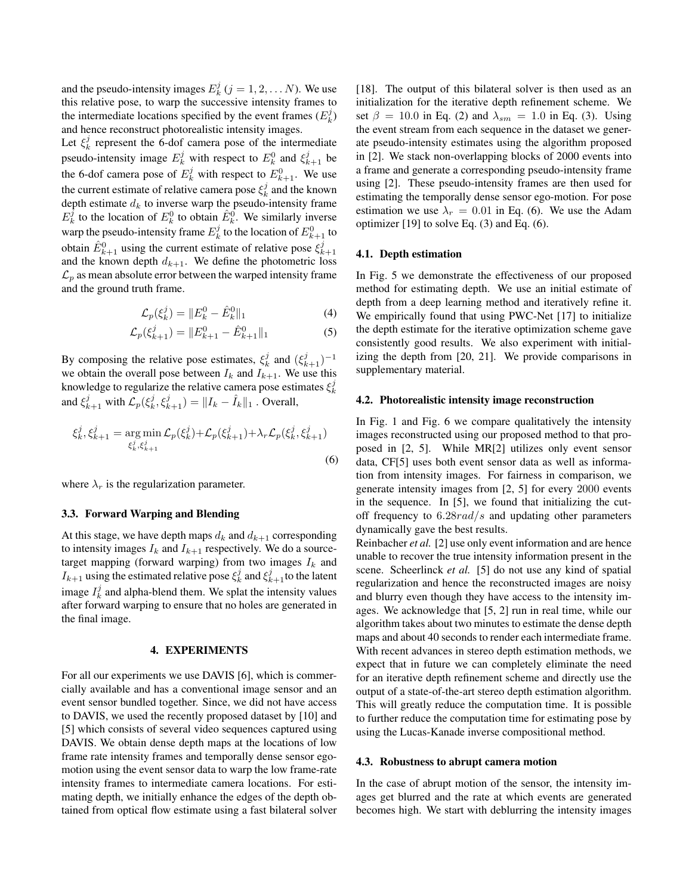and the pseudo-intensity images  $E_k^j$   $(j = 1, 2, \dots N)$ . We use this relative pose, to warp the successive intensity frames to the intermediate locations specified by the event frames  $(E_k^j)$ and hence reconstruct photorealistic intensity images.

Let  $\xi_k^j$  represent the 6-dof camera pose of the intermediate pseudo-intensity image  $E_k^j$  with respect to  $E_k^0$  and  $\xi_{k+1}^j$  be the 6-dof camera pose of  $E_k^j$  with respect to  $E_{k+1}^0$ . We use the current estimate of relative camera pose  $\xi_k^j$  and the known depth estimate  $d_k$  to inverse warp the pseudo-intensity frame  $E_k^j$  to the location of  $E_k^0$  to obtain  $\hat{E}_k^0$ . We similarly inverse warp the pseudo-intensity frame  $E_k^j$  to the location of  $E_{k+1}^0$  to obtain  $\hat{E}_{k+1}^0$  using the current estimate of relative pose  $\xi_{k+1}^j$ and the known depth  $d_{k+1}$ . We define the photometric loss  $\mathcal{L}_p$  as mean absolute error between the warped intensity frame and the ground truth frame.

$$
\mathcal{L}_p(\xi_k^j) = \|E_k^0 - \hat{E}_k^0\|_1 \tag{4}
$$

$$
\mathcal{L}_p(\xi_{k+1}^j) = ||E_{k+1}^0 - \hat{E}_{k+1}^0||_1 \tag{5}
$$

By composing the relative pose estimates,  $\xi_k^j$  and  $(\xi_{k+1}^j)^{-1}$ we obtain the overall pose between  $I_k$  and  $I_{k+1}$ . We use this knowledge to regularize the relative camera pose estimates  $\xi_k^j$ and  $\xi_{k+1}^j$  with  $\mathcal{L}_p(\xi_k^j, \xi_{k+1}^j) = ||I_k - \hat{I}_k||_1$  . Overall,

$$
\xi_k^j, \xi_{k+1}^j = \underset{\xi_k^j, \xi_{k+1}^j}{\arg \min} \mathcal{L}_p(\xi_k^j) + \mathcal{L}_p(\xi_{k+1}^j) + \lambda_r \mathcal{L}_p(\xi_k^j, \xi_{k+1}^j)
$$
\n(6)

where  $\lambda_r$  is the regularization parameter.

#### 3.3. Forward Warping and Blending

At this stage, we have depth maps  $d_k$  and  $d_{k+1}$  corresponding to intensity images  $I_k$  and  $I_{k+1}$  respectively. We do a sourcetarget mapping (forward warping) from two images  $I_k$  and  $I_{k+1}$  using the estimated relative pose  $\xi_k^j$  and  $\xi_{k+1}^j$  to the latent image  $I_k^j$  and alpha-blend them. We splat the intensity values after forward warping to ensure that no holes are generated in the final image.

#### 4. EXPERIMENTS

For all our experiments we use DAVIS [6], which is commercially available and has a conventional image sensor and an event sensor bundled together. Since, we did not have access to DAVIS, we used the recently proposed dataset by [10] and [5] which consists of several video sequences captured using DAVIS. We obtain dense depth maps at the locations of low frame rate intensity frames and temporally dense sensor egomotion using the event sensor data to warp the low frame-rate intensity frames to intermediate camera locations. For estimating depth, we initially enhance the edges of the depth obtained from optical flow estimate using a fast bilateral solver [18]. The output of this bilateral solver is then used as an initialization for the iterative depth refinement scheme. We set  $\beta = 10.0$  in Eq. (2) and  $\lambda_{sm} = 1.0$  in Eq. (3). Using the event stream from each sequence in the dataset we generate pseudo-intensity estimates using the algorithm proposed in [2]. We stack non-overlapping blocks of 2000 events into a frame and generate a corresponding pseudo-intensity frame using [2]. These pseudo-intensity frames are then used for estimating the temporally dense sensor ego-motion. For pose estimation we use  $\lambda_r = 0.01$  in Eq. (6). We use the Adam optimizer [19] to solve Eq. (3) and Eq. (6).

### 4.1. Depth estimation

In Fig. 5 we demonstrate the effectiveness of our proposed method for estimating depth. We use an initial estimate of depth from a deep learning method and iteratively refine it. We empirically found that using PWC-Net [17] to initialize the depth estimate for the iterative optimization scheme gave consistently good results. We also experiment with initializing the depth from [20, 21]. We provide comparisons in supplementary material.

#### 4.2. Photorealistic intensity image reconstruction

In Fig. 1 and Fig. 6 we compare qualitatively the intensity images reconstructed using our proposed method to that proposed in [2, 5]. While MR[2] utilizes only event sensor data, CF[5] uses both event sensor data as well as information from intensity images. For fairness in comparison, we generate intensity images from [2, 5] for every 2000 events in the sequence. In [5], we found that initializing the cutoff frequency to  $6.28 \text{rad/s}$  and updating other parameters dynamically gave the best results.

Reinbacher *et al.* [2] use only event information and are hence unable to recover the true intensity information present in the scene. Scheerlinck *et al.* [5] do not use any kind of spatial regularization and hence the reconstructed images are noisy and blurry even though they have access to the intensity images. We acknowledge that [5, 2] run in real time, while our algorithm takes about two minutes to estimate the dense depth maps and about 40 seconds to render each intermediate frame. With recent advances in stereo depth estimation methods, we expect that in future we can completely eliminate the need for an iterative depth refinement scheme and directly use the output of a state-of-the-art stereo depth estimation algorithm. This will greatly reduce the computation time. It is possible to further reduce the computation time for estimating pose by using the Lucas-Kanade inverse compositional method.

#### 4.3. Robustness to abrupt camera motion

In the case of abrupt motion of the sensor, the intensity images get blurred and the rate at which events are generated becomes high. We start with deblurring the intensity images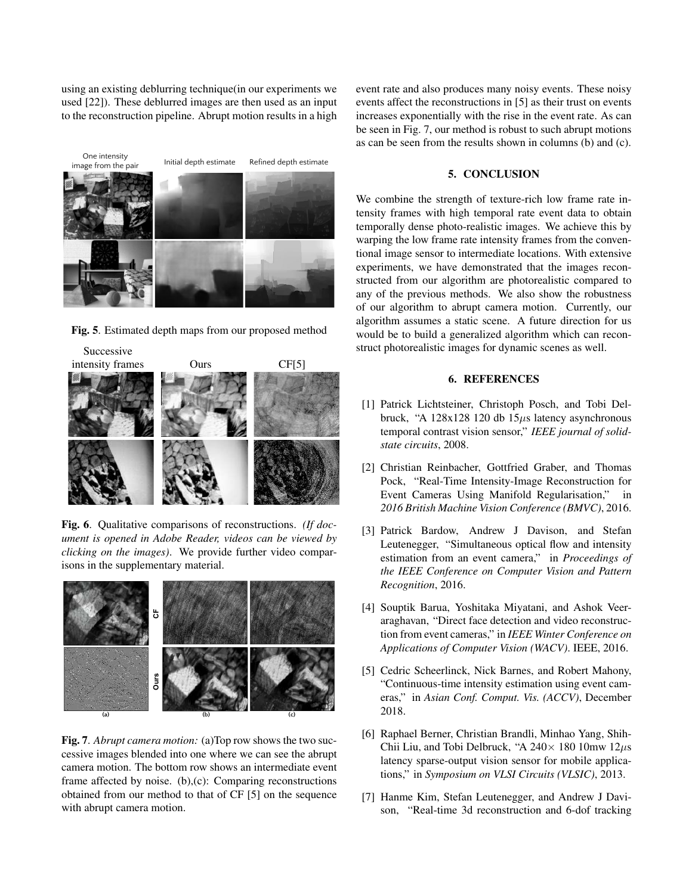using an existing deblurring technique(in our experiments we used [22]). These deblurred images are then used as an input to the reconstruction pipeline. Abrupt motion results in a high



Fig. 5. Estimated depth maps from our proposed method



Fig. 6. Qualitative comparisons of reconstructions. *(If document is opened in Adobe Reader, videos can be viewed by clicking on the images)*. We provide further video comparisons in the supplementary material.



Fig. 7. *Abrupt camera motion:* (a)Top row shows the two successive images blended into one where we can see the abrupt camera motion. The bottom row shows an intermediate event frame affected by noise. (b),(c): Comparing reconstructions obtained from our method to that of CF [5] on the sequence with abrupt camera motion.

event rate and also produces many noisy events. These noisy events affect the reconstructions in [5] as their trust on events increases exponentially with the rise in the event rate. As can be seen in Fig. 7, our method is robust to such abrupt motions as can be seen from the results shown in columns (b) and (c).

# 5. CONCLUSION

We combine the strength of texture-rich low frame rate intensity frames with high temporal rate event data to obtain temporally dense photo-realistic images. We achieve this by warping the low frame rate intensity frames from the conventional image sensor to intermediate locations. With extensive experiments, we have demonstrated that the images reconstructed from our algorithm are photorealistic compared to any of the previous methods. We also show the robustness of our algorithm to abrupt camera motion. Currently, our algorithm assumes a static scene. A future direction for us would be to build a generalized algorithm which can reconstruct photorealistic images for dynamic scenes as well.

## 6. REFERENCES

- [1] Patrick Lichtsteiner, Christoph Posch, and Tobi Delbruck, "A  $128x128$  120 db  $15\mu s$  latency asynchronous temporal contrast vision sensor," *IEEE journal of solidstate circuits*, 2008.
- [2] Christian Reinbacher, Gottfried Graber, and Thomas Pock, "Real-Time Intensity-Image Reconstruction for Event Cameras Using Manifold Regularisation," in *2016 British Machine Vision Conference (BMVC)*, 2016.
- [3] Patrick Bardow, Andrew J Davison, and Stefan Leutenegger, "Simultaneous optical flow and intensity estimation from an event camera," in *Proceedings of the IEEE Conference on Computer Vision and Pattern Recognition*, 2016.
- [4] Souptik Barua, Yoshitaka Miyatani, and Ashok Veeraraghavan, "Direct face detection and video reconstruction from event cameras," in *IEEE Winter Conference on Applications of Computer Vision (WACV)*. IEEE, 2016.
- [5] Cedric Scheerlinck, Nick Barnes, and Robert Mahony, "Continuous-time intensity estimation using event cameras," in *Asian Conf. Comput. Vis. (ACCV)*, December 2018.
- [6] Raphael Berner, Christian Brandli, Minhao Yang, Shih-Chii Liu, and Tobi Delbruck, "A  $240 \times 180$  10mw  $12 \mu s$ latency sparse-output vision sensor for mobile applications," in *Symposium on VLSI Circuits (VLSIC)*, 2013.
- **Below 2 images** and **Framework Framework Framework** [7] Hanme Kim, Stefan Leutenegger, and Andrew J Davi-